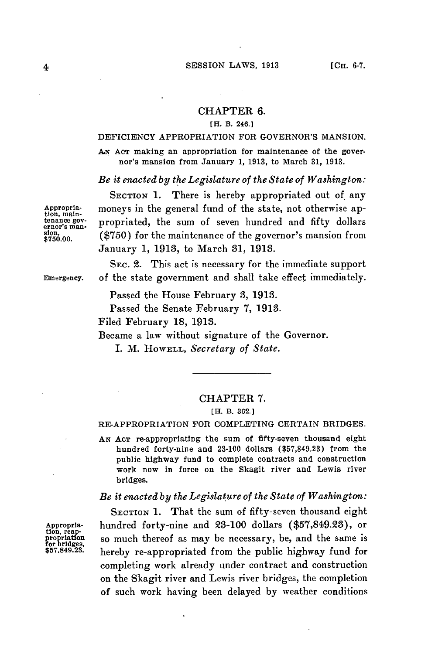### CHAPTER **6.**

### [H. B. 246.1

## DEFICIENCY APPROPRIATION FOR GOVERNOR'S MANSION.

**AN AcT** making an appropriation for maintenance of the governor's mansion from January **1, 1913,** to March **31, 1913.**

### *Be it enacted by the Legislature of the State of Washington:*

SECTION 1. There is hereby appropriated out of any Appropria-<br>tion, main-<br>tenance gov-<br>propriated, the sum of seven hundred and fifty dollars tenance gov. propriated, the sum of seven hundred and fifty dollars sion, (\$750) for the maintenance of the governor's mansion from **\$750.00. (\$750)** for the maintenance of the governor's mansion from January **1, 1913,** to March **31, 1913.**

**SEC.** 2. This act is necessary for the immediate support **Emergency.** of the state government and shall take effect immediately.

Passed the House February **3, 1913.**

Passed the Senate February **7, 1913.**

Filed February **18, 1913.**

Became a law without signature of the Governor.

I. M. HOWELL, *Secretary of State.*

# CHAPTER 7.

#### **[H.** B. **362.]**

RE-APPROPRIATION FOR **COMPLETING** CERTAIN BRIDGES.

**AN ACT** re-appropriating the sum of fifty-seven thousand eight hundred forty-nine and **23-100** dollars **(\$57,849.23)** from the public highway fund to complete contracts and construction work now in force on the Skagit river and Lewis river bridges.

# *Be it enacted by the Legislature of the State of Washington:*

SECTION **1.** That the sum of fifty-seven thousand eight Appropria-<br>
tion, reap-<br> **Appropriation**<br> **Appropriated**<br> **So much thereof as may be necessary, be, and the same is<br>
<b>Appropriated**<br> **Appropriated**<br> **Appropriated**<br> **Appropriated**<br> **Appropriated**<br> **Appropriated**<br> **Appropri** so much thereof as may be necessary, be, and the same is hereby re-appropriated from the public highway fund for completing work already under contract and construction on the Skagit river and Lewis river bridges, the completion of such work having been delayed **by** weather conditions